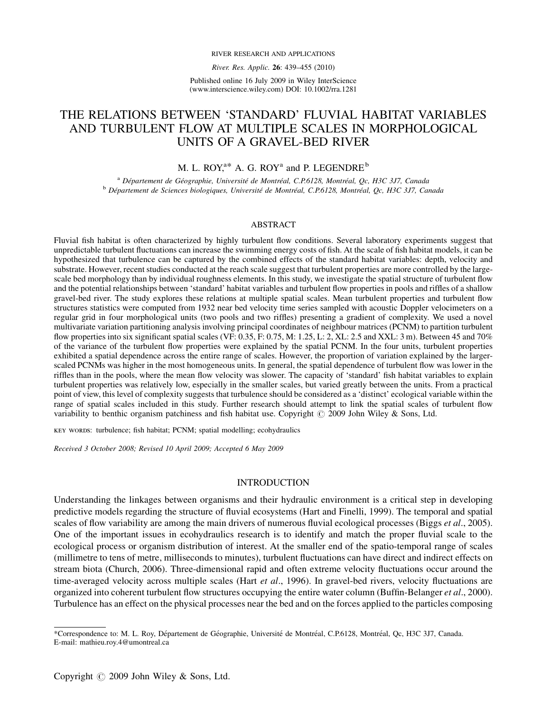RIVER RESEARCH AND APPLICATIONS

River. Res. Applic. 26: 439–455 (2010)

Published online 16 July 2009 in Wiley InterScience (www.interscience.wiley.com) DOI: 10.1002/rra.1281

# THE RELATIONS BETWEEN 'STANDARD' FLUVIAL HABITAT VARIABLES AND TURBULENT FLOW AT MULTIPLE SCALES IN MORPHOLOGICAL UNITS OF A GRAVEL-BED RIVER

M. L.  $\text{ROY}^{\text{a}*}$  A. G.  $\text{ROY}^{\text{a}}$  and P. LEGENDRE<sup>b</sup>

<sup>a</sup> Département de Géographie, Université de Montréal, C.P.6128, Montréal, Oc, H3C 3J7, Canada <sup>b</sup> Département de Sciences biologiques, Université de Montréal, C.P.6128, Montréal, Qc, H3C 3J7, Canada

## ABSTRACT

Fluvial fish habitat is often characterized by highly turbulent flow conditions. Several laboratory experiments suggest that unpredictable turbulent fluctuations can increase the swimming energy costs of fish. At the scale of fish habitat models, it can be hypothesized that turbulence can be captured by the combined effects of the standard habitat variables: depth, velocity and substrate. However, recent studies conducted at the reach scale suggest that turbulent properties are more controlled by the largescale bed morphology than by individual roughness elements. In this study, we investigate the spatial structure of turbulent flow and the potential relationships between 'standard' habitat variables and turbulent flow properties in pools and riffles of a shallow gravel-bed river. The study explores these relations at multiple spatial scales. Mean turbulent properties and turbulent flow structures statistics were computed from 1932 near bed velocity time series sampled with acoustic Doppler velocimeters on a regular grid in four morphological units (two pools and two riffles) presenting a gradient of complexity. We used a novel multivariate variation partitioning analysis involving principal coordinates of neighbour matrices (PCNM) to partition turbulent flow properties into six significant spatial scales (VF: 0.35, F: 0.75, M: 1.25, L: 2, XL: 2.5 and XXL: 3 m). Between 45 and 70% of the variance of the turbulent flow properties were explained by the spatial PCNM. In the four units, turbulent properties exhibited a spatial dependence across the entire range of scales. However, the proportion of variation explained by the largerscaled PCNMs was higher in the most homogeneous units. In general, the spatial dependence of turbulent flow was lower in the riffles than in the pools, where the mean flow velocity was slower. The capacity of 'standard' fish habitat variables to explain turbulent properties was relatively low, especially in the smaller scales, but varied greatly between the units. From a practical point of view, this level of complexity suggests that turbulence should be considered as a 'distinct' ecological variable within the range of spatial scales included in this study. Further research should attempt to link the spatial scales of turbulent flow variability to benthic organism patchiness and fish habitat use. Copyright  $\odot$  2009 John Wiley & Sons, Ltd.

key words: turbulence; fish habitat; PCNM; spatial modelling; ecohydraulics

Received 3 October 2008; Revised 10 April 2009; Accepted 6 May 2009

## INTRODUCTION

Understanding the linkages between organisms and their hydraulic environment is a critical step in developing predictive models regarding the structure of fluvial ecosystems (Hart and Finelli, 1999). The temporal and spatial scales of flow variability are among the main drivers of numerous fluvial ecological processes (Biggs et al., 2005). One of the important issues in ecohydraulics research is to identify and match the proper fluvial scale to the ecological process or organism distribution of interest. At the smaller end of the spatio-temporal range of scales (millimetre to tens of metre, milliseconds to minutes), turbulent fluctuations can have direct and indirect effects on stream biota (Church, 2006). Three-dimensional rapid and often extreme velocity fluctuations occur around the time-averaged velocity across multiple scales (Hart *et al.*, 1996). In gravel-bed rivers, velocity fluctuations are organized into coherent turbulent flow structures occupying the entire water column (Buffin-Belanger et al., 2000). Turbulence has an effect on the physical processes near the bed and on the forces applied to the particles composing

<sup>\*</sup>Correspondence to: M. L. Roy, De´partement de Ge´ographie, Universite´ de Montre´al, C.P.6128, Montre´al, Qc, H3C 3J7, Canada. E-mail: mathieu.roy.4@umontreal.ca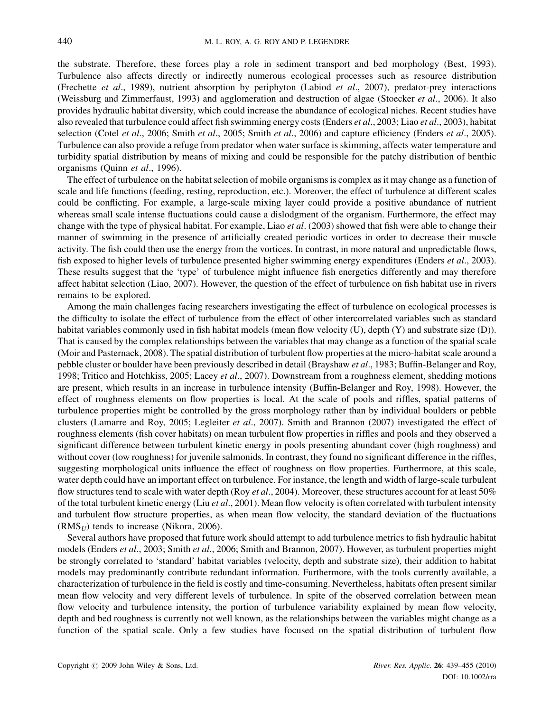the substrate. Therefore, these forces play a role in sediment transport and bed morphology (Best, 1993). Turbulence also affects directly or indirectly numerous ecological processes such as resource distribution (Frechette et al., 1989), nutrient absorption by periphyton (Labiod et al., 2007), predator-prey interactions (Weissburg and Zimmerfaust, 1993) and agglomeration and destruction of algae (Stoecker et al., 2006). It also provides hydraulic habitat diversity, which could increase the abundance of ecological niches. Recent studies have also revealed that turbulence could affect fish swimming energy costs (Enders et al., 2003; Liao et al., 2003), habitat selection (Cotel et al., 2006; Smith et al., 2005; Smith et al., 2006) and capture efficiency (Enders et al., 2005). Turbulence can also provide a refuge from predator when water surface is skimming, affects water temperature and turbidity spatial distribution by means of mixing and could be responsible for the patchy distribution of benthic organisms (Quinn et al., 1996).

The effect of turbulence on the habitat selection of mobile organisms is complex as it may change as a function of scale and life functions (feeding, resting, reproduction, etc.). Moreover, the effect of turbulence at different scales could be conflicting. For example, a large-scale mixing layer could provide a positive abundance of nutrient whereas small scale intense fluctuations could cause a dislodgment of the organism. Furthermore, the effect may change with the type of physical habitat. For example, Liao *et al.* (2003) showed that fish were able to change their manner of swimming in the presence of artificially created periodic vortices in order to decrease their muscle activity. The fish could then use the energy from the vortices. In contrast, in more natural and unpredictable flows, fish exposed to higher levels of turbulence presented higher swimming energy expenditures (Enders et al., 2003). These results suggest that the 'type' of turbulence might influence fish energetics differently and may therefore affect habitat selection (Liao, 2007). However, the question of the effect of turbulence on fish habitat use in rivers remains to be explored.

Among the main challenges facing researchers investigating the effect of turbulence on ecological processes is the difficulty to isolate the effect of turbulence from the effect of other intercorrelated variables such as standard habitat variables commonly used in fish habitat models (mean flow velocity (U), depth (Y) and substrate size (D)). That is caused by the complex relationships between the variables that may change as a function of the spatial scale (Moir and Pasternack, 2008). The spatial distribution of turbulent flow properties at the micro-habitat scale around a pebble cluster or boulder have been previously described in detail (Brayshaw et al., 1983; Buffin-Belanger and Roy, 1998; Tritico and Hotchkiss, 2005; Lacey et al., 2007). Downstream from a roughness element, shedding motions are present, which results in an increase in turbulence intensity (Buffin-Belanger and Roy, 1998). However, the effect of roughness elements on flow properties is local. At the scale of pools and riffles, spatial patterns of turbulence properties might be controlled by the gross morphology rather than by individual boulders or pebble clusters (Lamarre and Roy, 2005; Legleiter et al., 2007). Smith and Brannon (2007) investigated the effect of roughness elements (fish cover habitats) on mean turbulent flow properties in riffles and pools and they observed a significant difference between turbulent kinetic energy in pools presenting abundant cover (high roughness) and without cover (low roughness) for juvenile salmonids. In contrast, they found no significant difference in the riffles, suggesting morphological units influence the effect of roughness on flow properties. Furthermore, at this scale, water depth could have an important effect on turbulence. For instance, the length and width of large-scale turbulent flow structures tend to scale with water depth (Roy *et al.*, 2004). Moreover, these structures account for at least 50% of the total turbulent kinetic energy (Liu et al., 2001). Mean flow velocity is often correlated with turbulent intensity and turbulent flow structure properties, as when mean flow velocity, the standard deviation of the fluctuations  $(RMS<sub>U</sub>)$  tends to increase (Nikora, 2006).

Several authors have proposed that future work should attempt to add turbulence metrics to fish hydraulic habitat models (Enders et al., 2003; Smith et al., 2006; Smith and Brannon, 2007). However, as turbulent properties might be strongly correlated to 'standard' habitat variables (velocity, depth and substrate size), their addition to habitat models may predominantly contribute redundant information. Furthermore, with the tools currently available, a characterization of turbulence in the field is costly and time-consuming. Nevertheless, habitats often present similar mean flow velocity and very different levels of turbulence. In spite of the observed correlation between mean flow velocity and turbulence intensity, the portion of turbulence variability explained by mean flow velocity, depth and bed roughness is currently not well known, as the relationships between the variables might change as a function of the spatial scale. Only a few studies have focused on the spatial distribution of turbulent flow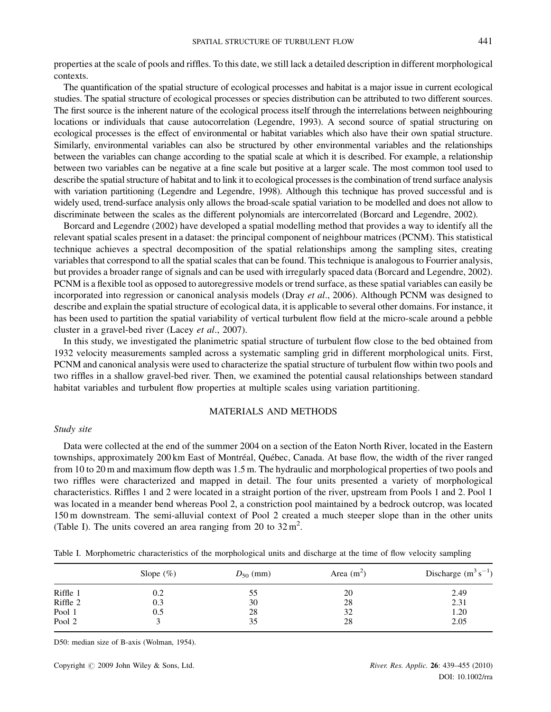properties at the scale of pools and riffles. To this date, we still lack a detailed description in different morphological contexts.

The quantification of the spatial structure of ecological processes and habitat is a major issue in current ecological studies. The spatial structure of ecological processes or species distribution can be attributed to two different sources. The first source is the inherent nature of the ecological process itself through the interrelations between neighbouring locations or individuals that cause autocorrelation (Legendre, 1993). A second source of spatial structuring on ecological processes is the effect of environmental or habitat variables which also have their own spatial structure. Similarly, environmental variables can also be structured by other environmental variables and the relationships between the variables can change according to the spatial scale at which it is described. For example, a relationship between two variables can be negative at a fine scale but positive at a larger scale. The most common tool used to describe the spatial structure of habitat and to link it to ecological processes is the combination of trend surface analysis with variation partitioning (Legendre and Legendre, 1998). Although this technique has proved successful and is widely used, trend-surface analysis only allows the broad-scale spatial variation to be modelled and does not allow to discriminate between the scales as the different polynomials are intercorrelated (Borcard and Legendre, 2002).

Borcard and Legendre (2002) have developed a spatial modelling method that provides a way to identify all the relevant spatial scales present in a dataset: the principal component of neighbour matrices (PCNM). This statistical technique achieves a spectral decomposition of the spatial relationships among the sampling sites, creating variables that correspond to all the spatial scales that can be found. This technique is analogous to Fourrier analysis, but provides a broader range of signals and can be used with irregularly spaced data (Borcard and Legendre, 2002). PCNM is a flexible tool as opposed to autoregressive models or trend surface, as these spatial variables can easily be incorporated into regression or canonical analysis models (Dray et al., 2006). Although PCNM was designed to describe and explain the spatial structure of ecological data, it is applicable to several other domains. For instance, it has been used to partition the spatial variability of vertical turbulent flow field at the micro-scale around a pebble cluster in a gravel-bed river (Lacey et al., 2007).

In this study, we investigated the planimetric spatial structure of turbulent flow close to the bed obtained from 1932 velocity measurements sampled across a systematic sampling grid in different morphological units. First, PCNM and canonical analysis were used to characterize the spatial structure of turbulent flow within two pools and two riffles in a shallow gravel-bed river. Then, we examined the potential causal relationships between standard habitat variables and turbulent flow properties at multiple scales using variation partitioning.

# MATERIALS AND METHODS

#### Study site

Data were collected at the end of the summer 2004 on a section of the Eaton North River, located in the Eastern townships, approximately 200 km East of Montréal, Québec, Canada. At base flow, the width of the river ranged from 10 to 20 m and maximum flow depth was 1.5 m. The hydraulic and morphological properties of two pools and two riffles were characterized and mapped in detail. The four units presented a variety of morphological characteristics. Riffles 1 and 2 were located in a straight portion of the river, upstream from Pools 1 and 2. Pool 1 was located in a meander bend whereas Pool 2, a constriction pool maintained by a bedrock outcrop, was located 150 m downstream. The semi-alluvial context of Pool 2 created a much steeper slope than in the other units (Table I). The units covered an area ranging from 20 to  $32 \text{ m}^2$ .

|          | Slope $(\%)$ | $D_{50}$ (mm) | Area $(m^2)$ | Discharge $(m^3 s^{-1})$ |
|----------|--------------|---------------|--------------|--------------------------|
| Riffle 1 | 0.2          | 55            | 20           | 2.49                     |
| Riffle 2 | 0.3          | 30            | 28           | 2.31                     |
| Pool 1   | 0.5          | 28            | 32           | 1.20                     |
| Pool 2   |              | 35            | 28           | 2.05                     |

Table I. Morphometric characteristics of the morphological units and discharge at the time of flow velocity sampling

D50: median size of B-axis (Wolman, 1954).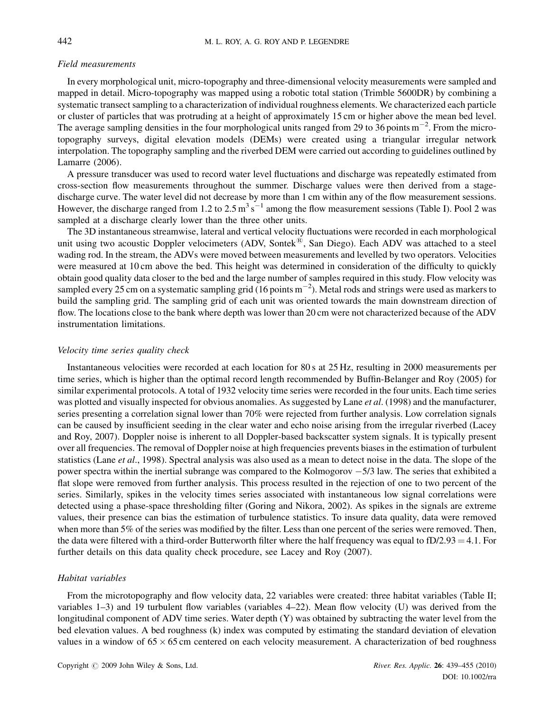## Field measurements

In every morphological unit, micro-topography and three-dimensional velocity measurements were sampled and mapped in detail. Micro-topography was mapped using a robotic total station (Trimble 5600DR) by combining a systematic transect sampling to a characterization of individual roughness elements. We characterized each particle or cluster of particles that was protruding at a height of approximately 15 cm or higher above the mean bed level. The average sampling densities in the four morphological units ranged from 29 to  $36$  points  $m^{-2}$ . From the microtopography surveys, digital elevation models (DEMs) were created using a triangular irregular network interpolation. The topography sampling and the riverbed DEM were carried out according to guidelines outlined by Lamarre (2006).

A pressure transducer was used to record water level fluctuations and discharge was repeatedly estimated from cross-section flow measurements throughout the summer. Discharge values were then derived from a stagedischarge curve. The water level did not decrease by more than 1 cm within any of the flow measurement sessions. However, the discharge ranged from 1.2 to  $2.5 \text{ m}^3 \text{ s}^{-1}$  among the flow measurement sessions (Table I). Pool 2 was sampled at a discharge clearly lower than the three other units.

The 3D instantaneous streamwise, lateral and vertical velocity fluctuations were recorded in each morphological unit using two acoustic Doppler velocimeters (ADV, Sontek $\mathbb{R}$ , San Diego). Each ADV was attached to a steel wading rod. In the stream, the ADVs were moved between measurements and levelled by two operators. Velocities were measured at 10 cm above the bed. This height was determined in consideration of the difficulty to quickly obtain good quality data closer to the bed and the large number of samples required in this study. Flow velocity was sampled every 25 cm on a systematic sampling grid (16 points  $m^{-2}$ ). Metal rods and strings were used as markers to build the sampling grid. The sampling grid of each unit was oriented towards the main downstream direction of flow. The locations close to the bank where depth was lower than 20 cm were not characterized because of the ADV instrumentation limitations.

#### Velocity time series quality check

Instantaneous velocities were recorded at each location for 80 s at 25 Hz, resulting in 2000 measurements per time series, which is higher than the optimal record length recommended by Buffin-Belanger and Roy (2005) for similar experimental protocols. A total of 1932 velocity time series were recorded in the four units. Each time series was plotted and visually inspected for obvious anomalies. As suggested by Lane *et al.* (1998) and the manufacturer, series presenting a correlation signal lower than 70% were rejected from further analysis. Low correlation signals can be caused by insufficient seeding in the clear water and echo noise arising from the irregular riverbed (Lacey and Roy, 2007). Doppler noise is inherent to all Doppler-based backscatter system signals. It is typically present over all frequencies. The removal of Doppler noise at high frequencies prevents biases in the estimation of turbulent statistics (Lane et al., 1998). Spectral analysis was also used as a mean to detect noise in the data. The slope of the power spectra within the inertial subrange was compared to the Kolmogorov 5/3 law. The series that exhibited a flat slope were removed from further analysis. This process resulted in the rejection of one to two percent of the series. Similarly, spikes in the velocity times series associated with instantaneous low signal correlations were detected using a phase-space thresholding filter (Goring and Nikora, 2002). As spikes in the signals are extreme values, their presence can bias the estimation of turbulence statistics. To insure data quality, data were removed when more than 5% of the series was modified by the filter. Less than one percent of the series were removed. Then, the data were filtered with a third-order Butterworth filter where the half frequency was equal to fD/2.93 = 4.1. For further details on this data quality check procedure, see Lacey and Roy (2007).

## Habitat variables

From the microtopography and flow velocity data, 22 variables were created: three habitat variables (Table II; variables 1–3) and 19 turbulent flow variables (variables 4–22). Mean flow velocity (U) was derived from the longitudinal component of ADV time series. Water depth (Y) was obtained by subtracting the water level from the bed elevation values. A bed roughness (k) index was computed by estimating the standard deviation of elevation values in a window of  $65 \times 65$  cm centered on each velocity measurement. A characterization of bed roughness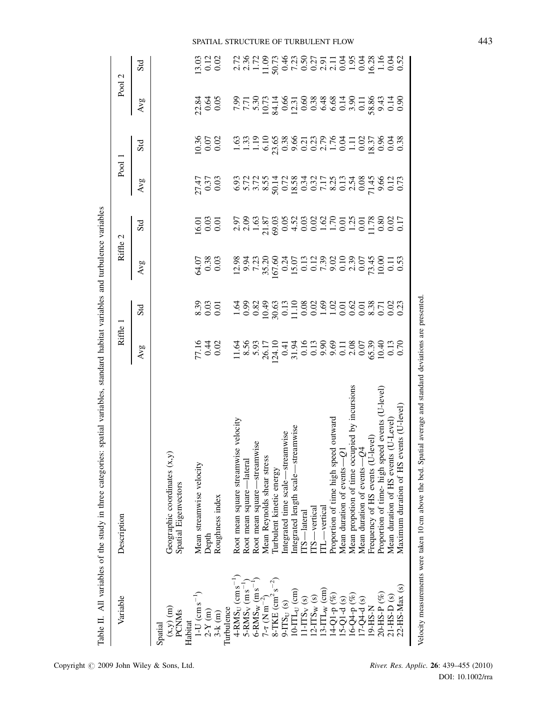|                                                                                                                                                            | Table II. All variables of the study in three categories: spatial variables, standard habitat variables and turbulence variables |                                                                                                                                                                                                                                                                                                                     |              |                       |                       |                                                                                                                                                                                                                                                                                |                                                                                                                                                                                                                                                                                                               |                      |                       |
|------------------------------------------------------------------------------------------------------------------------------------------------------------|----------------------------------------------------------------------------------------------------------------------------------|---------------------------------------------------------------------------------------------------------------------------------------------------------------------------------------------------------------------------------------------------------------------------------------------------------------------|--------------|-----------------------|-----------------------|--------------------------------------------------------------------------------------------------------------------------------------------------------------------------------------------------------------------------------------------------------------------------------|---------------------------------------------------------------------------------------------------------------------------------------------------------------------------------------------------------------------------------------------------------------------------------------------------------------|----------------------|-----------------------|
| Variable                                                                                                                                                   | Description                                                                                                                      | Riffle                                                                                                                                                                                                                                                                                                              |              | Riffle                | $\mathbf 2$           | Pool                                                                                                                                                                                                                                                                           |                                                                                                                                                                                                                                                                                                               | Pool                 | $\mathcal{C}$         |
|                                                                                                                                                            |                                                                                                                                  | Avg                                                                                                                                                                                                                                                                                                                 | Std          | Avg                   | Std                   | Avg                                                                                                                                                                                                                                                                            | Std                                                                                                                                                                                                                                                                                                           | Avg                  | Std                   |
| Spatial                                                                                                                                                    |                                                                                                                                  |                                                                                                                                                                                                                                                                                                                     |              |                       |                       |                                                                                                                                                                                                                                                                                |                                                                                                                                                                                                                                                                                                               |                      |                       |
| $(x,y)$ (m)<br>PCNMs                                                                                                                                       | Geographic coordinates $(x,y)$<br>Spatial Eigenvectors                                                                           |                                                                                                                                                                                                                                                                                                                     |              |                       |                       |                                                                                                                                                                                                                                                                                |                                                                                                                                                                                                                                                                                                               |                      |                       |
| $1-U$ (cm $s^{-1}$ )<br>Habitat                                                                                                                            | Mean streamwise velocity                                                                                                         |                                                                                                                                                                                                                                                                                                                     |              |                       |                       |                                                                                                                                                                                                                                                                                |                                                                                                                                                                                                                                                                                                               |                      |                       |
| $2-Y(m)$                                                                                                                                                   | Depth                                                                                                                            | $\begin{array}{c} 7.16 \\ 0.40 \\ 4.02 \end{array}$                                                                                                                                                                                                                                                                 | 8.35<br>8.95 | 64.07<br>0.38<br>0.03 | 16.01<br>0.03<br>0.01 | 27.47<br>0.37<br>0.03                                                                                                                                                                                                                                                          | $0.36$<br>$0.07$<br>$0.02$                                                                                                                                                                                                                                                                                    | $\frac{23.84}{0.65}$ | 13.03<br>0.12<br>0.02 |
| Turbulence<br>$3-k$ (m)                                                                                                                                    | Roughness index                                                                                                                  |                                                                                                                                                                                                                                                                                                                     |              |                       |                       |                                                                                                                                                                                                                                                                                |                                                                                                                                                                                                                                                                                                               |                      |                       |
|                                                                                                                                                            | Root mean square streamwise velocity                                                                                             |                                                                                                                                                                                                                                                                                                                     |              |                       |                       |                                                                                                                                                                                                                                                                                |                                                                                                                                                                                                                                                                                                               |                      |                       |
|                                                                                                                                                            | Root mean square—lateral                                                                                                         |                                                                                                                                                                                                                                                                                                                     |              |                       |                       |                                                                                                                                                                                                                                                                                |                                                                                                                                                                                                                                                                                                               |                      |                       |
| 4-RMS <sub>U</sub> (cm s <sup>-1</sup> )<br>5-RMS <sub>V</sub> (m s <sup>-1</sup> )<br>6-RMS <sub>W</sub> (m s <sup>-1</sup> )<br>7-r (N m <sup>-2</sup> ) | Root mean square-streamwise                                                                                                      | $\frac{1}{3}$ $\frac{8}{3}$ $\frac{8}{3}$ $\frac{5}{1}$ $\frac{1}{3}$ $\frac{1}{4}$ $\frac{3}{5}$ $\frac{1}{1}$ $\frac{3}{5}$ $\frac{3}{5}$ $\frac{5}{6}$ $\frac{3}{1}$ $\frac{5}{1}$ $\frac{3}{1}$ $\frac{5}{1}$ $\frac{3}{1}$ $\frac{5}{1}$ $\frac{3}{1}$ $\frac{5}{1}$ $\frac{3}{1}$ $\frac{5}{1}$ $\frac{3}{1}$ |              |                       |                       | $6.777$<br>$6.777$<br>$7.777$<br>$8.777$<br>$8.777$<br>$8.777$<br>$8.777$<br>$8.777$<br>$8.777$<br>$8.777$<br>$8.777$<br>$8.777$<br>$8.777$<br>$8.777$<br>$8.777$<br>$8.777$<br>$8.777$<br>$8.777$<br>$8.777$<br>$8.777$<br>$8.777$<br>$8.777$<br>$8.777$<br>$8.777$<br>$8.77$ | $\begin{array}{l} 1.33 \\ 1.11 \\ 1.22 \\ 1.33 \\ 1.45 \\ 1.56 \\ 1.65 \\ 1.68 \\ 1.69 \\ 1.69 \\ 1.60 \\ 1.60 \\ 1.60 \\ 1.60 \\ 1.60 \\ 1.60 \\ 1.60 \\ 1.60 \\ 1.60 \\ 1.60 \\ 1.60 \\ 1.60 \\ 1.60 \\ 1.60 \\ 1.60 \\ 1.60 \\ 1.60 \\ 1.60 \\ 1.60 \\ 1.60 \\ 1.60 \\ 1.60 \\ 1.60 \\ 1.60 \\ 1.60 \\ 1.$ |                      |                       |
|                                                                                                                                                            | Mean Reynolds shear stress                                                                                                       |                                                                                                                                                                                                                                                                                                                     |              |                       |                       |                                                                                                                                                                                                                                                                                |                                                                                                                                                                                                                                                                                                               |                      |                       |
| 8-TKE $\text{cm}^2\text{s}^{-2}$                                                                                                                           | lurbulent kinetic energy                                                                                                         |                                                                                                                                                                                                                                                                                                                     |              |                       |                       |                                                                                                                                                                                                                                                                                |                                                                                                                                                                                                                                                                                                               |                      |                       |
| $9-ITS_U(s)$                                                                                                                                               | integrated time scale-streamwise                                                                                                 |                                                                                                                                                                                                                                                                                                                     |              |                       |                       |                                                                                                                                                                                                                                                                                |                                                                                                                                                                                                                                                                                                               |                      |                       |
| $10-TTL_U$ (cm)                                                                                                                                            |                                                                                                                                  |                                                                                                                                                                                                                                                                                                                     |              |                       |                       |                                                                                                                                                                                                                                                                                |                                                                                                                                                                                                                                                                                                               |                      |                       |
| $11-\text{ITS}_V(s)$                                                                                                                                       | Integrated length scale—streamwise<br>ITS—lateral                                                                                |                                                                                                                                                                                                                                                                                                                     |              |                       |                       |                                                                                                                                                                                                                                                                                |                                                                                                                                                                                                                                                                                                               |                      |                       |
| $(2-ITS_W(s))$                                                                                                                                             | TS-vertical                                                                                                                      |                                                                                                                                                                                                                                                                                                                     |              |                       |                       |                                                                                                                                                                                                                                                                                |                                                                                                                                                                                                                                                                                                               |                      |                       |
| $(3-TTL_W$ (cm)                                                                                                                                            | $TL$ -vertical                                                                                                                   |                                                                                                                                                                                                                                                                                                                     |              |                       |                       |                                                                                                                                                                                                                                                                                |                                                                                                                                                                                                                                                                                                               |                      |                       |
| $(4-Q1-p (%)$                                                                                                                                              | high speed outward<br>Proportion of time 1                                                                                       |                                                                                                                                                                                                                                                                                                                     |              |                       |                       |                                                                                                                                                                                                                                                                                |                                                                                                                                                                                                                                                                                                               |                      |                       |
| $[5-Q1-d(s)]$                                                                                                                                              | Mean duration of events $-Q$ 1                                                                                                   |                                                                                                                                                                                                                                                                                                                     |              |                       |                       |                                                                                                                                                                                                                                                                                |                                                                                                                                                                                                                                                                                                               |                      |                       |
| $(6-Q4-p (%)$                                                                                                                                              | Mean propotion of time occupied by incursions                                                                                    |                                                                                                                                                                                                                                                                                                                     |              |                       |                       |                                                                                                                                                                                                                                                                                |                                                                                                                                                                                                                                                                                                               |                      |                       |
| $17-Q4-d(s)$                                                                                                                                               | Mean duration of events $-Q$ 4                                                                                                   |                                                                                                                                                                                                                                                                                                                     |              |                       |                       |                                                                                                                                                                                                                                                                                |                                                                                                                                                                                                                                                                                                               |                      |                       |
| <b>N-SH-61</b>                                                                                                                                             | Frequency of HS events (U-level)                                                                                                 |                                                                                                                                                                                                                                                                                                                     |              |                       |                       |                                                                                                                                                                                                                                                                                |                                                                                                                                                                                                                                                                                                               |                      |                       |
| $20 - HS-P(S)$                                                                                                                                             | Proportion of time- high speed events (U-level)                                                                                  |                                                                                                                                                                                                                                                                                                                     |              |                       |                       |                                                                                                                                                                                                                                                                                |                                                                                                                                                                                                                                                                                                               |                      |                       |
| $21-HS-D(s)$                                                                                                                                               | Mean duration of HS events (U-Level)                                                                                             |                                                                                                                                                                                                                                                                                                                     |              |                       |                       |                                                                                                                                                                                                                                                                                |                                                                                                                                                                                                                                                                                                               |                      |                       |
| $22-HS-Max(s)$                                                                                                                                             | of HS events (U-level)<br>Maximum duration                                                                                       |                                                                                                                                                                                                                                                                                                                     |              |                       |                       |                                                                                                                                                                                                                                                                                |                                                                                                                                                                                                                                                                                                               |                      |                       |
| Velocity measurements were taken 10 cm above the                                                                                                           | bed. Spatial average and standard deviations are presented                                                                       |                                                                                                                                                                                                                                                                                                                     |              |                       |                       |                                                                                                                                                                                                                                                                                |                                                                                                                                                                                                                                                                                                               |                      |                       |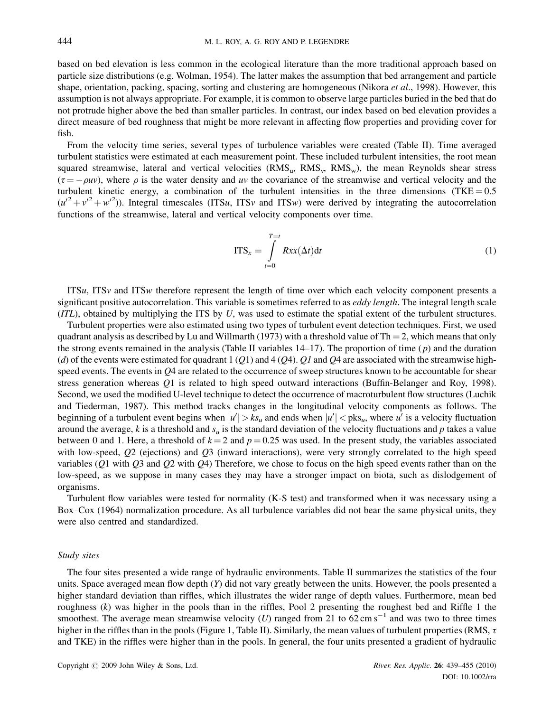based on bed elevation is less common in the ecological literature than the more traditional approach based on particle size distributions (e.g. Wolman, 1954). The latter makes the assumption that bed arrangement and particle shape, orientation, packing, spacing, sorting and clustering are homogeneous (Nikora *et al.*, 1998). However, this assumption is not always appropriate. For example, it is common to observe large particles buried in the bed that do not protrude higher above the bed than smaller particles. In contrast, our index based on bed elevation provides a direct measure of bed roughness that might be more relevant in affecting flow properties and providing cover for fish.

From the velocity time series, several types of turbulence variables were created (Table II). Time averaged turbulent statistics were estimated at each measurement point. These included turbulent intensities, the root mean squared streamwise, lateral and vertical velocities  $(RMS_u, RMS_w, RMS_w)$ , the mean Reynolds shear stress  $(\tau = -\rho uv)$ , where  $\rho$  is the water density and uv the covariance of the streamwise and vertical velocity and the turbulent kinetic energy, a combination of the turbulent intensities in the three dimensions (TKE  $= 0.5$ )  $(u'^2 + v'^2 + w'^2)$ ). Integral timescales (ITSu, ITSv and ITSw) were derived by integrating the autocorrelation functions of the streamwise, lateral and vertical velocity components over time.

$$
ITS_x = \int_{t=0}^{T=t} Rxx(\Delta t)dt
$$
 (1)

ITSu, ITSv and ITSw therefore represent the length of time over which each velocity component presents a significant positive autocorrelation. This variable is sometimes referred to as *eddy length*. The integral length scale  $(ITL)$ , obtained by multiplying the ITS by U, was used to estimate the spatial extent of the turbulent structures.

Turbulent properties were also estimated using two types of turbulent event detection techniques. First, we used quadrant analysis as described by Lu and Willmarth (1973) with a threshold value of  $Th = 2$ , which means that only the strong events remained in the analysis (Table II variables  $14-17$ ). The proportion of time ( $p$ ) and the duration (d) of the events were estimated for quadrant 1 (O1) and 4 (O4). O1 and O4 are associated with the streamwise highspeed events. The events in  $Q4$  are related to the occurrence of sweep structures known to be accountable for shear stress generation whereas Q1 is related to high speed outward interactions (Buffin-Belanger and Roy, 1998). Second, we used the modified U-level technique to detect the occurrence of macroturbulent flow structures (Luchik and Tiederman, 1987). This method tracks changes in the longitudinal velocity components as follows. The beginning of a turbulent event begins when  $|u'| > k s_u$  and ends when  $|u'| <$  pks<sub>u</sub>, where u' is a velocity fluctuation around the average, k is a threshold and  $s_u$  is the standard deviation of the velocity fluctuations and p takes a value between 0 and 1. Here, a threshold of  $k = 2$  and  $p = 0.25$  was used. In the present study, the variables associated with low-speed, Q2 (ejections) and Q3 (inward interactions), were very strongly correlated to the high speed variables (Q1 with Q3 and Q2 with Q4) Therefore, we chose to focus on the high speed events rather than on the low-speed, as we suppose in many cases they may have a stronger impact on biota, such as dislodgement of organisms.

Turbulent flow variables were tested for normality (K-S test) and transformed when it was necessary using a Box–Cox (1964) normalization procedure. As all turbulence variables did not bear the same physical units, they were also centred and standardized.

#### Study sites

The four sites presented a wide range of hydraulic environments. Table II summarizes the statistics of the four units. Space averaged mean flow depth (Y) did not vary greatly between the units. However, the pools presented a higher standard deviation than riffles, which illustrates the wider range of depth values. Furthermore, mean bed roughness (k) was higher in the pools than in the riffles, Pool 2 presenting the roughest bed and Riffle 1 the smoothest. The average mean streamwise velocity (U) ranged from 21 to  $62 \text{ cm s}^{-1}$  and was two to three times higher in the riffles than in the pools (Figure 1, Table II). Similarly, the mean values of turbulent properties (RMS,  $\tau$ and TKE) in the riffles were higher than in the pools. In general, the four units presented a gradient of hydraulic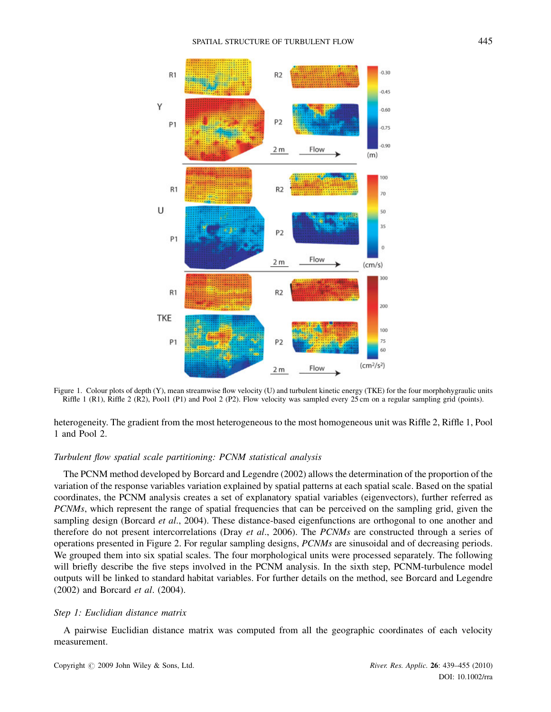

Figure 1. Colour plots of depth (Y), mean streamwise flow velocity (U) and turbulent kinetic energy (TKE) for the four morphohygraulic units Riffle 1 (R1), Riffle 2 (R2), Pool1 (P1) and Pool 2 (P2). Flow velocity was sampled every 25 cm on a regular sampling grid (points).

heterogeneity. The gradient from the most heterogeneous to the most homogeneous unit was Riffle 2, Riffle 1, Pool 1 and Pool 2.

## Turbulent flow spatial scale partitioning: PCNM statistical analysis

The PCNM method developed by Borcard and Legendre (2002) allows the determination of the proportion of the variation of the response variables variation explained by spatial patterns at each spatial scale. Based on the spatial coordinates, the PCNM analysis creates a set of explanatory spatial variables (eigenvectors), further referred as PCNMs, which represent the range of spatial frequencies that can be perceived on the sampling grid, given the sampling design (Borcard *et al.*, 2004). These distance-based eigenfunctions are orthogonal to one another and therefore do not present intercorrelations (Dray et al., 2006). The PCNMs are constructed through a series of operations presented in Figure 2. For regular sampling designs, PCNMs are sinusoidal and of decreasing periods. We grouped them into six spatial scales. The four morphological units were processed separately. The following will briefly describe the five steps involved in the PCNM analysis. In the sixth step, PCNM-turbulence model outputs will be linked to standard habitat variables. For further details on the method, see Borcard and Legendre (2002) and Borcard et al. (2004).

#### Step 1: Euclidian distance matrix

A pairwise Euclidian distance matrix was computed from all the geographic coordinates of each velocity measurement.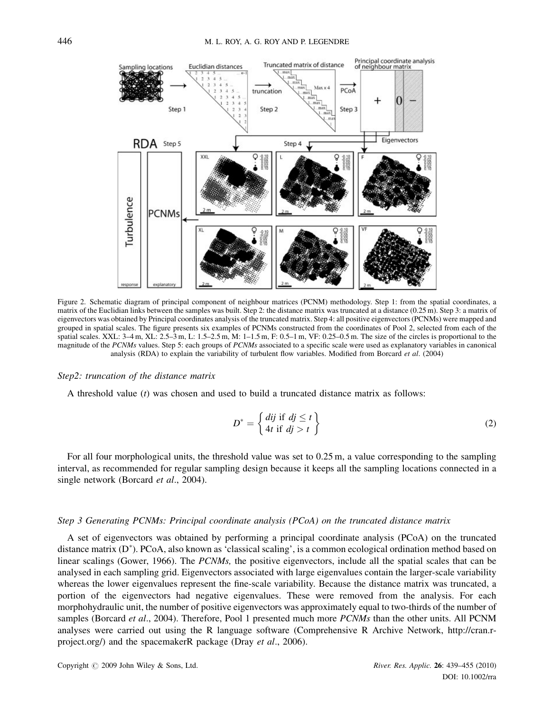

Figure 2. Schematic diagram of principal component of neighbour matrices (PCNM) methodology. Step 1: from the spatial coordinates, a matrix of the Euclidian links between the samples was built. Step 2: the distance matrix was truncated at a distance (0.25 m). Step 3: a matrix of eigenvectors was obtained by Principal coordinates analysis of the truncated matrix. Step 4: all positive eigenvectors (PCNMs) were mapped and grouped in spatial scales. The figure presents six examples of PCNMs constructed from the coordinates of Pool 2, selected from each of the spatial scales. XXL: 3–4 m, XL: 2.5–3 m, L: 1.5–2.5 m, M: 1–1.5 m, F: 0.5–1 m, VF: 0.25–0.5 m. The size of the circles is proportional to the magnitude of the PCNMs values. Step 5: each groups of PCNMs associated to a specific scale were used as explanatory variables in canonical analysis (RDA) to explain the variability of turbulent flow variables. Modified from Borcard et al. (2004)

#### Step2: truncation of the distance matrix

A threshold value  $(t)$  was chosen and used to build a truncated distance matrix as follows:

$$
D^* = \left\{ \begin{array}{l} dij \text{ if } dj \leq t \\ 4t \text{ if } dj > t \end{array} \right\}
$$
 (2)

For all four morphological units, the threshold value was set to 0.25 m, a value corresponding to the sampling interval, as recommended for regular sampling design because it keeps all the sampling locations connected in a single network (Borcard et al., 2004).

## Step 3 Generating PCNMs: Principal coordinate analysis (PCoA) on the truncated distance matrix

A set of eigenvectors was obtained by performing a principal coordinate analysis (PCoA) on the truncated distance matrix (D ). PCoA, also known as 'classical scaling', is a common ecological ordination method based on linear scalings (Gower, 1966). The PCNMs, the positive eigenvectors, include all the spatial scales that can be analysed in each sampling grid. Eigenvectors associated with large eigenvalues contain the larger-scale variability whereas the lower eigenvalues represent the fine-scale variability. Because the distance matrix was truncated, a portion of the eigenvectors had negative eigenvalues. These were removed from the analysis. For each morphohydraulic unit, the number of positive eigenvectors was approximately equal to two-thirds of the number of samples (Borcard et al., 2004). Therefore, Pool 1 presented much more PCNMs than the other units. All PCNM analyses were carried out using the R language software (Comprehensive R Archive Network, http://cran.rproject.org/) and the spacemakerR package (Dray et al., 2006).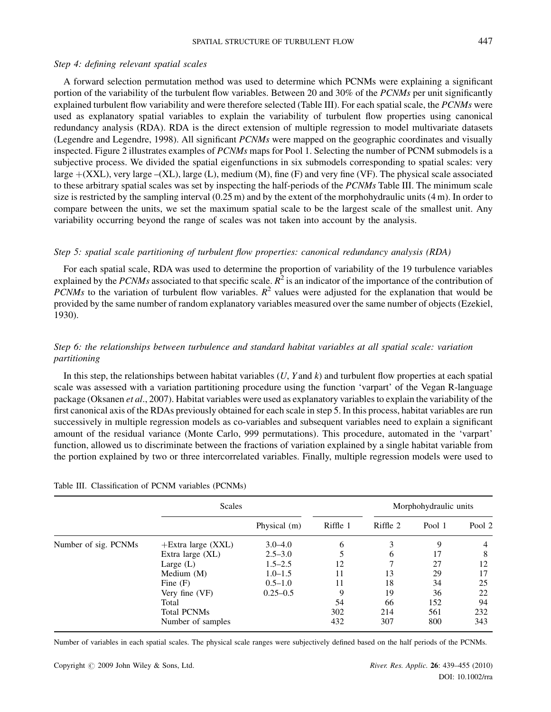## Step 4: defining relevant spatial scales

A forward selection permutation method was used to determine which PCNMs were explaining a significant portion of the variability of the turbulent flow variables. Between 20 and 30% of the PCNMs per unit significantly explained turbulent flow variability and were therefore selected (Table III). For each spatial scale, the PCNMs were used as explanatory spatial variables to explain the variability of turbulent flow properties using canonical redundancy analysis (RDA). RDA is the direct extension of multiple regression to model multivariate datasets (Legendre and Legendre, 1998). All significant PCNMs were mapped on the geographic coordinates and visually inspected. Figure 2 illustrates examples of *PCNMs* maps for Pool 1. Selecting the number of PCNM submodels is a subjective process. We divided the spatial eigenfunctions in six submodels corresponding to spatial scales: very large  $+(XXL)$ , very large  $-(XL)$ , large (L), medium (M), fine (F) and very fine (VF). The physical scale associated to these arbitrary spatial scales was set by inspecting the half-periods of the PCNMs Table III. The minimum scale size is restricted by the sampling interval  $(0.25 \text{ m})$  and by the extent of the morphohydraulic units  $(4 \text{ m})$ . In order to compare between the units, we set the maximum spatial scale to be the largest scale of the smallest unit. Any variability occurring beyond the range of scales was not taken into account by the analysis.

## Step 5: spatial scale partitioning of turbulent flow properties: canonical redundancy analysis (RDA)

For each spatial scale, RDA was used to determine the proportion of variability of the 19 turbulence variables explained by the PCNMs associated to that specific scale.  $R^2$  is an indicator of the importance of the contribution of *PCNMs* to the variation of turbulent flow variables.  $R^2$  values were adjusted for the explanation that would be provided by the same number of random explanatory variables measured over the same number of objects (Ezekiel, 1930).

# Step 6: the relationships between turbulence and standard habitat variables at all spatial scale: variation partitioning

In this step, the relationships between habitat variables  $(U, Y)$  and turbulent flow properties at each spatial scale was assessed with a variation partitioning procedure using the function 'varpart' of the Vegan R-language package (Oksanen et al., 2007). Habitat variables were used as explanatory variables to explain the variability of the first canonical axis of the RDAs previously obtained for each scale in step 5. In this process, habitat variables are run successively in multiple regression models as co-variables and subsequent variables need to explain a significant amount of the residual variance (Monte Carlo, 999 permutations). This procedure, automated in the 'varpart' function, allowed us to discriminate between the fractions of variation explained by a single habitat variable from the portion explained by two or three intercorrelated variables. Finally, multiple regression models were used to

|                      | Scales                  |              |          | Morphohydraulic units |        |        |  |
|----------------------|-------------------------|--------------|----------|-----------------------|--------|--------|--|
|                      |                         | Physical (m) | Riffle 1 | Riffle 2              | Pool 1 | Pool 2 |  |
| Number of sig. PCNMs | $+$ Extra large $(XXL)$ | $3.0 - 4.0$  | 6        | 3                     | 9      | 4      |  |
|                      | Extra large $(XL)$      | $2.5 - 3.0$  |          | 6                     | 17     | 8      |  |
|                      | Large $(L)$             | $1.5 - 2.5$  | 12       |                       | 27     | 12     |  |
|                      | Medium $(M)$            | $1.0 - 1.5$  | 11       | 13                    | 29     | 17     |  |
|                      | Fine $(F)$              | $0.5 - 1.0$  | 11       | 18                    | 34     | 25     |  |
|                      | Very fine (VF)          | $0.25 - 0.5$ | 9        | 19                    | 36     | 22     |  |
|                      | Total                   |              | 54       | 66                    | 152    | 94     |  |
|                      | <b>Total PCNMs</b>      |              | 302      | 214                   | 561    | 232    |  |
|                      | Number of samples       |              |          | 307                   | 800    | 343    |  |

#### Table III. Classification of PCNM variables (PCNMs)

Number of variables in each spatial scales. The physical scale ranges were subjectively defined based on the half periods of the PCNMs.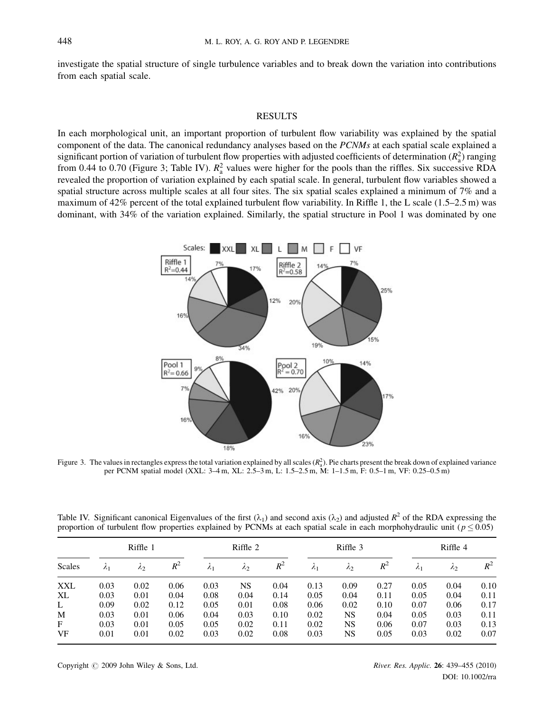investigate the spatial structure of single turbulence variables and to break down the variation into contributions from each spatial scale.

## RESULTS

In each morphological unit, an important proportion of turbulent flow variability was explained by the spatial component of the data. The canonical redundancy analyses based on the PCNMs at each spatial scale explained a significant portion of variation of turbulent flow properties with adjusted coefficients of determination  $(R_a^2)$  ranging from 0.44 to 0.70 (Figure 3; Table IV).  $R_a^2$  values were higher for the pools than the riffles. Six successive RDA revealed the proportion of variation explained by each spatial scale. In general, turbulent flow variables showed a spatial structure across multiple scales at all four sites. The six spatial scales explained a minimum of 7% and a maximum of 42% percent of the total explained turbulent flow variability. In Riffle 1, the L scale (1.5–2.5 m) was dominant, with 34% of the variation explained. Similarly, the spatial structure in Pool 1 was dominated by one



Figure 3. The values in rectangles express the total variation explained by all scales  $(R_a^2)$ . Pie charts present the break down of explained variance per PCNM spatial model (XXL: 3–4 m, XL: 2.5–3 m, L: 1.5–2.5 m, M: 1–1.5 m, F: 0.5–1 m, VF: 0.25–0.5 m)

| Table IV. Significant canonical Eigenvalues of the first $(\lambda_1)$ and second axis $(\lambda_2)$ and adjusted $R^2$ of the RDA expressing the |  |  |  |  |
|---------------------------------------------------------------------------------------------------------------------------------------------------|--|--|--|--|
| proportion of turbulent flow properties explained by PCNMs at each spatial scale in each morphohydraulic unit ( $p \le 0.05$ )                    |  |  |  |  |

|               | Riffle 1    |                   | Riffle 2 |             | Riffle 3    |       |             | Riffle 4  |       |             |             |       |
|---------------|-------------|-------------------|----------|-------------|-------------|-------|-------------|-----------|-------|-------------|-------------|-------|
| <b>Scales</b> | $\lambda_1$ | $\mathcal{L}_{2}$ | $R^2$    | $\lambda_1$ | $\lambda_2$ | $R^2$ | $\lambda_1$ | $\Lambda$ | $R^2$ | $\lambda_1$ | $\lambda_2$ | $R^2$ |
| <b>XXL</b>    | 0.03        | 0.02              | 0.06     | 0.03        | NS          | 0.04  | 0.13        | 0.09      | 0.27  | 0.05        | 0.04        | 0.10  |
| XL            | 0.03        | 0.01              | 0.04     | 0.08        | 0.04        | 0.14  | 0.05        | 0.04      | 0.11  | 0.05        | 0.04        | 0.11  |
| L             | 0.09        | 0.02              | 0.12     | 0.05        | 0.01        | 0.08  | 0.06        | 0.02      | 0.10  | 0.07        | 0.06        | 0.17  |
| M             | 0.03        | 0.01              | 0.06     | 0.04        | 0.03        | 0.10  | 0.02        | NS        | 0.04  | 0.05        | 0.03        | 0.11  |
| F             | 0.03        | 0.01              | 0.05     | 0.05        | 0.02        | 0.11  | 0.02        | NS        | 0.06  | 0.07        | 0.03        | 0.13  |
| VF            | 0.01        | 0.01              | 0.02     | 0.03        | 0.02        | 0.08  | 0.03        | NS        | 0.05  | 0.03        | 0.02        | 0.07  |

Copyright  $\odot$  2009 John Wiley & Sons, Ltd. River. Res. Applic. 26: 439–455 (2010)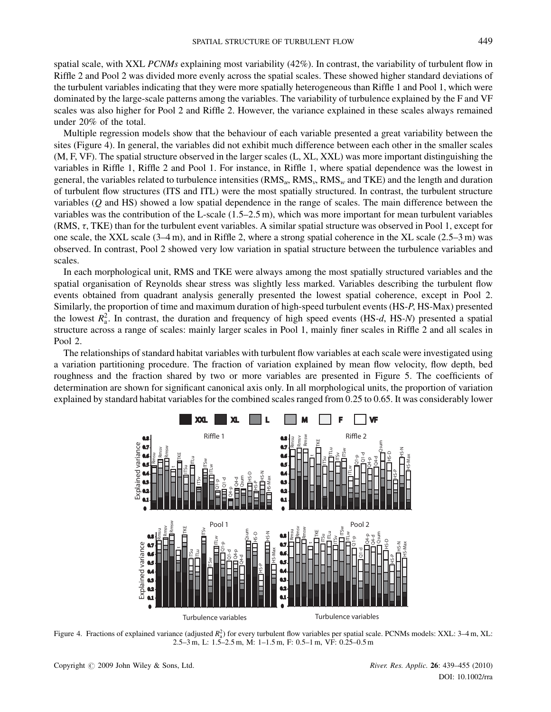spatial scale, with XXL PCNMs explaining most variability (42%). In contrast, the variability of turbulent flow in Riffle 2 and Pool 2 was divided more evenly across the spatial scales. These showed higher standard deviations of the turbulent variables indicating that they were more spatially heterogeneous than Riffle 1 and Pool 1, which were dominated by the large-scale patterns among the variables. The variability of turbulence explained by the F and VF scales was also higher for Pool 2 and Riffle 2. However, the variance explained in these scales always remained under 20% of the total.

Multiple regression models show that the behaviour of each variable presented a great variability between the sites (Figure 4). In general, the variables did not exhibit much difference between each other in the smaller scales (M, F, VF). The spatial structure observed in the larger scales (L, XL, XXL) was more important distinguishing the variables in Riffle 1, Riffle 2 and Pool 1. For instance, in Riffle 1, where spatial dependence was the lowest in general, the variables related to turbulence intensities  $(RMS_u, RMS_v, RMS_v$  and TKE) and the length and duration of turbulent flow structures (ITS and ITL) were the most spatially structured. In contrast, the turbulent structure variables (Q and HS) showed a low spatial dependence in the range of scales. The main difference between the variables was the contribution of the L-scale (1.5–2.5 m), which was more important for mean turbulent variables (RMS, t, TKE) than for the turbulent event variables. A similar spatial structure was observed in Pool 1, except for one scale, the XXL scale (3–4 m), and in Riffle 2, where a strong spatial coherence in the XL scale (2.5–3 m) was observed. In contrast, Pool 2 showed very low variation in spatial structure between the turbulence variables and scales.

In each morphological unit, RMS and TKE were always among the most spatially structured variables and the spatial organisation of Reynolds shear stress was slightly less marked. Variables describing the turbulent flow events obtained from quadrant analysis generally presented the lowest spatial coherence, except in Pool 2. Similarly, the proportion of time and maximum duration of high-speed turbulent events (HS-P, HS-Max) presented the lowest  $R_a^2$ . In contrast, the duration and frequency of high speed events (HS-d, HS-N) presented a spatial structure across a range of scales: mainly larger scales in Pool 1, mainly finer scales in Riffle 2 and all scales in Pool 2.

The relationships of standard habitat variables with turbulent flow variables at each scale were investigated using a variation partitioning procedure. The fraction of variation explained by mean flow velocity, flow depth, bed roughness and the fraction shared by two or more variables are presented in Figure 5. The coefficients of determination are shown for significant canonical axis only. In all morphological units, the proportion of variation explained by standard habitat variables for the combined scales ranged from 0.25 to 0.65. It was considerably lower



Figure 4. Fractions of explained variance (adjusted  $R_a^2$ ) for every turbulent flow variables per spatial scale. PCNMs models: XXL: 3–4 m, XL: 2.5–3 m, L: 1.5–2.5 m, M: 1–1.5 m, F: 0.5–1 m, VF: 0.25–0.5 m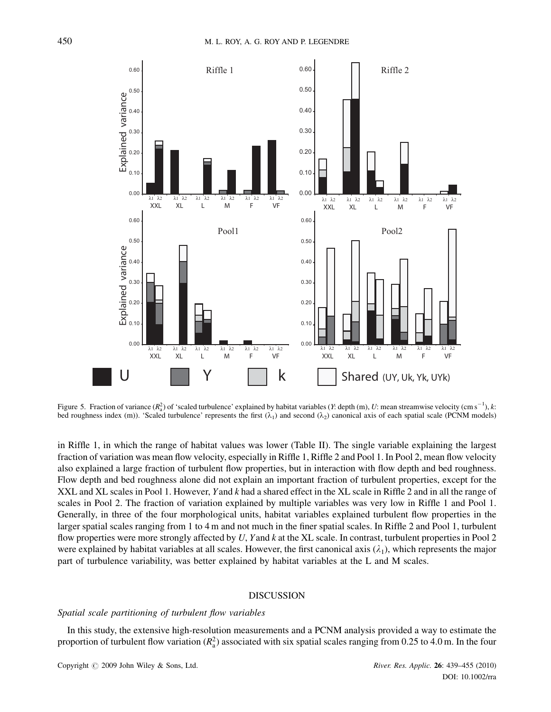

Figure 5. Fraction of variance  $(R_a^2)$  of 'scaled turbulence' explained by habitat variables (Y: depth (m), U: mean streamwise velocity (cm s<sup>-1</sup>), k: bed roughness index (m)). 'Scaled turbulence' represents the first  $(\lambda_1)$  and second  $(\lambda_2)$  canonical axis of each spatial scale (PCNM models)

in Riffle 1, in which the range of habitat values was lower (Table II). The single variable explaining the largest fraction of variation was mean flow velocity, especially in Riffle 1, Riffle 2 and Pool 1. In Pool 2, mean flow velocity also explained a large fraction of turbulent flow properties, but in interaction with flow depth and bed roughness. Flow depth and bed roughness alone did not explain an important fraction of turbulent properties, except for the XXL and XL scales in Pool 1. However, Yand k had a shared effect in the XL scale in Riffle 2 and in all the range of scales in Pool 2. The fraction of variation explained by multiple variables was very low in Riffle 1 and Pool 1. Generally, in three of the four morphological units, habitat variables explained turbulent flow properties in the larger spatial scales ranging from 1 to 4 m and not much in the finer spatial scales. In Riffle 2 and Pool 1, turbulent flow properties were more strongly affected by U, Y and k at the XL scale. In contrast, turbulent properties in Pool 2 were explained by habitat variables at all scales. However, the first canonical axis  $(\lambda_1)$ , which represents the major part of turbulence variability, was better explained by habitat variables at the L and M scales.

## DISCUSSION

#### Spatial scale partitioning of turbulent flow variables

In this study, the extensive high-resolution measurements and a PCNM analysis provided a way to estimate the proportion of turbulent flow variation  $(R_a^2)$  associated with six spatial scales ranging from 0.25 to 4.0 m. In the four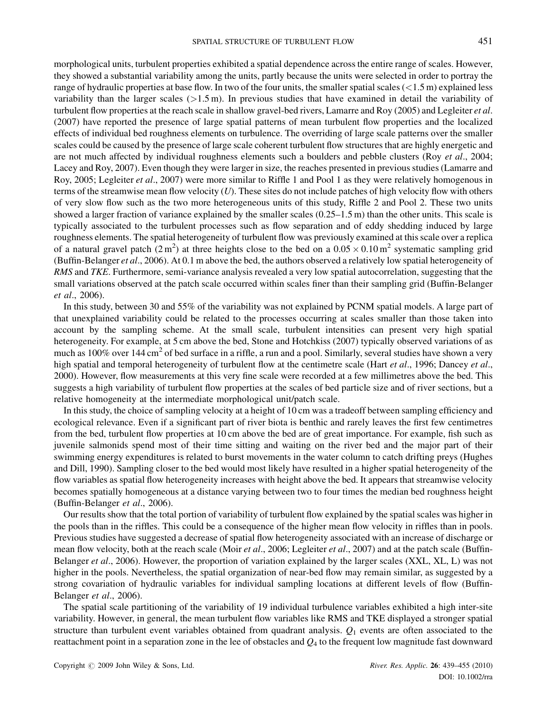morphological units, turbulent properties exhibited a spatial dependence across the entire range of scales. However, they showed a substantial variability among the units, partly because the units were selected in order to portray the range of hydraulic properties at base flow. In two of the four units, the smaller spatial scales  $(<1.5 \text{ m})$  explained less variability than the larger scales  $(>1.5 \,\text{m})$ . In previous studies that have examined in detail the variability of turbulent flow properties at the reach scale in shallow gravel-bed rivers, Lamarre and Roy (2005) and Legleiter *et al.* (2007) have reported the presence of large spatial patterns of mean turbulent flow properties and the localized effects of individual bed roughness elements on turbulence. The overriding of large scale patterns over the smaller scales could be caused by the presence of large scale coherent turbulent flow structures that are highly energetic and are not much affected by individual roughness elements such a boulders and pebble clusters (Roy *et al.*, 2004; Lacey and Roy, 2007). Even though they were larger in size, the reaches presented in previous studies (Lamarre and Roy, 2005; Legleiter et al., 2007) were more similar to Riffle 1 and Pool 1 as they were relatively homogenous in terms of the streamwise mean flow velocity  $(U)$ . These sites do not include patches of high velocity flow with others of very slow flow such as the two more heterogeneous units of this study, Riffle 2 and Pool 2. These two units showed a larger fraction of variance explained by the smaller scales (0.25–1.5 m) than the other units. This scale is typically associated to the turbulent processes such as flow separation and of eddy shedding induced by large roughness elements. The spatial heterogeneity of turbulent flow was previously examined at this scale over a replica of a natural gravel patch  $(2 m^2)$  at three heights close to the bed on a  $0.05 \times 0.10 m^2$  systematic sampling grid (Buffin-Belanger et al., 2006). At 0.1 m above the bed, the authors observed a relatively low spatial heterogeneity of RMS and TKE. Furthermore, semi-variance analysis revealed a very low spatial autocorrelation, suggesting that the small variations observed at the patch scale occurred within scales finer than their sampling grid (Buffin-Belanger et al., 2006).

In this study, between 30 and 55% of the variability was not explained by PCNM spatial models. A large part of that unexplained variability could be related to the processes occurring at scales smaller than those taken into account by the sampling scheme. At the small scale, turbulent intensities can present very high spatial heterogeneity. For example, at 5 cm above the bed, Stone and Hotchkiss (2007) typically observed variations of as much as  $100\%$  over  $144 \text{ cm}^2$  of bed surface in a riffle, a run and a pool. Similarly, several studies have shown a very high spatial and temporal heterogeneity of turbulent flow at the centimetre scale (Hart *et al.*, 1996; Dancey *et al.*, 2000). However, flow measurements at this very fine scale were recorded at a few millimetres above the bed. This suggests a high variability of turbulent flow properties at the scales of bed particle size and of river sections, but a relative homogeneity at the intermediate morphological unit/patch scale.

In this study, the choice of sampling velocity at a height of 10 cm was a tradeoff between sampling efficiency and ecological relevance. Even if a significant part of river biota is benthic and rarely leaves the first few centimetres from the bed, turbulent flow properties at 10 cm above the bed are of great importance. For example, fish such as juvenile salmonids spend most of their time sitting and waiting on the river bed and the major part of their swimming energy expenditures is related to burst movements in the water column to catch drifting preys (Hughes and Dill, 1990). Sampling closer to the bed would most likely have resulted in a higher spatial heterogeneity of the flow variables as spatial flow heterogeneity increases with height above the bed. It appears that streamwise velocity becomes spatially homogeneous at a distance varying between two to four times the median bed roughness height (Buffin-Belanger et al., 2006).

Our results show that the total portion of variability of turbulent flow explained by the spatial scales was higher in the pools than in the riffles. This could be a consequence of the higher mean flow velocity in riffles than in pools. Previous studies have suggested a decrease of spatial flow heterogeneity associated with an increase of discharge or mean flow velocity, both at the reach scale (Moir *et al.*, 2006; Legleiter *et al.*, 2007) and at the patch scale (Buffin-Belanger et al., 2006). However, the proportion of variation explained by the larger scales (XXL, XL, L) was not higher in the pools. Nevertheless, the spatial organization of near-bed flow may remain similar, as suggested by a strong covariation of hydraulic variables for individual sampling locations at different levels of flow (Buffin-Belanger et al., 2006).

The spatial scale partitioning of the variability of 19 individual turbulence variables exhibited a high inter-site variability. However, in general, the mean turbulent flow variables like RMS and TKE displayed a stronger spatial structure than turbulent event variables obtained from quadrant analysis.  $Q_1$  events are often associated to the reattachment point in a separation zone in the lee of obstacles and  $Q_4$  to the frequent low magnitude fast downward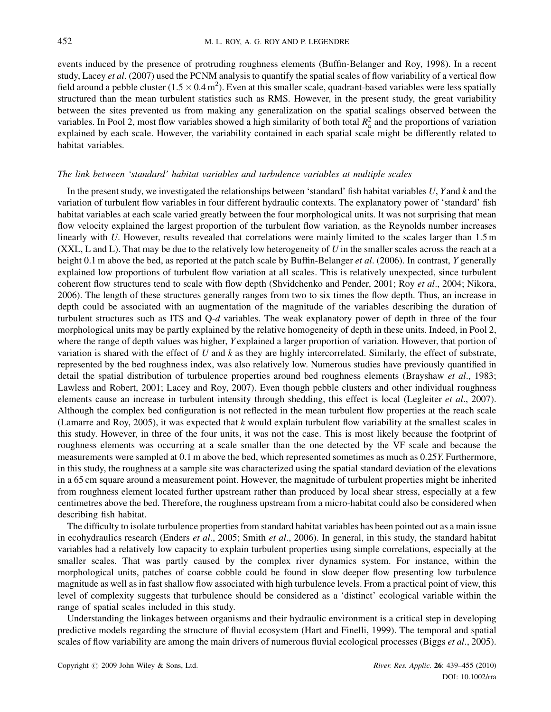events induced by the presence of protruding roughness elements (Buffin-Belanger and Roy, 1998). In a recent study, Lacey et al. (2007) used the PCNM analysis to quantify the spatial scales of flow variability of a vertical flow field around a pebble cluster  $(1.5 \times 0.4 \text{ m}^2)$ . Even at this smaller scale, quadrant-based variables were less spatially structured than the mean turbulent statistics such as RMS. However, in the present study, the great variability between the sites prevented us from making any generalization on the spatial scalings observed between the variables. In Pool 2, most flow variables showed a high similarity of both total  $R_a^2$  and the proportions of variation explained by each scale. However, the variability contained in each spatial scale might be differently related to habitat variables.

## The link between 'standard' habitat variables and turbulence variables at multiple scales

In the present study, we investigated the relationships between 'standard' fish habitat variables  $U$ , Yand  $k$  and the variation of turbulent flow variables in four different hydraulic contexts. The explanatory power of 'standard' fish habitat variables at each scale varied greatly between the four morphological units. It was not surprising that mean flow velocity explained the largest proportion of the turbulent flow variation, as the Reynolds number increases linearly with U. However, results revealed that correlations were mainly limited to the scales larger than 1.5 m  $(XXL, L and L)$ . That may be due to the relatively low heterogeneity of U in the smaller scales across the reach at a height 0.1 m above the bed, as reported at the patch scale by Buffin-Belanger *et al.* (2006). In contrast, Y generally explained low proportions of turbulent flow variation at all scales. This is relatively unexpected, since turbulent coherent flow structures tend to scale with flow depth (Shvidchenko and Pender, 2001; Roy et al., 2004; Nikora, 2006). The length of these structures generally ranges from two to six times the flow depth. Thus, an increase in depth could be associated with an augmentation of the magnitude of the variables describing the duration of turbulent structures such as ITS and Q-d variables. The weak explanatory power of depth in three of the four morphological units may be partly explained by the relative homogeneity of depth in these units. Indeed, in Pool 2, where the range of depth values was higher, Y explained a larger proportion of variation. However, that portion of variation is shared with the effect of U and  $k$  as they are highly intercorrelated. Similarly, the effect of substrate, represented by the bed roughness index, was also relatively low. Numerous studies have previously quantified in detail the spatial distribution of turbulence properties around bed roughness elements (Brayshaw et al., 1983; Lawless and Robert, 2001; Lacey and Roy, 2007). Even though pebble clusters and other individual roughness elements cause an increase in turbulent intensity through shedding, this effect is local (Legleiter et al., 2007). Although the complex bed configuration is not reflected in the mean turbulent flow properties at the reach scale (Lamarre and Roy, 2005), it was expected that  $k$  would explain turbulent flow variability at the smallest scales in this study. However, in three of the four units, it was not the case. This is most likely because the footprint of roughness elements was occurring at a scale smaller than the one detected by the VF scale and because the measurements were sampled at 0.1 m above the bed, which represented sometimes as much as 0.25Y. Furthermore, in this study, the roughness at a sample site was characterized using the spatial standard deviation of the elevations in a 65 cm square around a measurement point. However, the magnitude of turbulent properties might be inherited from roughness element located further upstream rather than produced by local shear stress, especially at a few centimetres above the bed. Therefore, the roughness upstream from a micro-habitat could also be considered when describing fish habitat.

The difficulty to isolate turbulence properties from standard habitat variables has been pointed out as a main issue in ecohydraulics research (Enders *et al.*, 2005; Smith *et al.*, 2006). In general, in this study, the standard habitat variables had a relatively low capacity to explain turbulent properties using simple correlations, especially at the smaller scales. That was partly caused by the complex river dynamics system. For instance, within the morphological units, patches of coarse cobble could be found in slow deeper flow presenting low turbulence magnitude as well as in fast shallow flow associated with high turbulence levels. From a practical point of view, this level of complexity suggests that turbulence should be considered as a 'distinct' ecological variable within the range of spatial scales included in this study.

Understanding the linkages between organisms and their hydraulic environment is a critical step in developing predictive models regarding the structure of fluvial ecosystem (Hart and Finelli, 1999). The temporal and spatial scales of flow variability are among the main drivers of numerous fluvial ecological processes (Biggs *et al.*, 2005).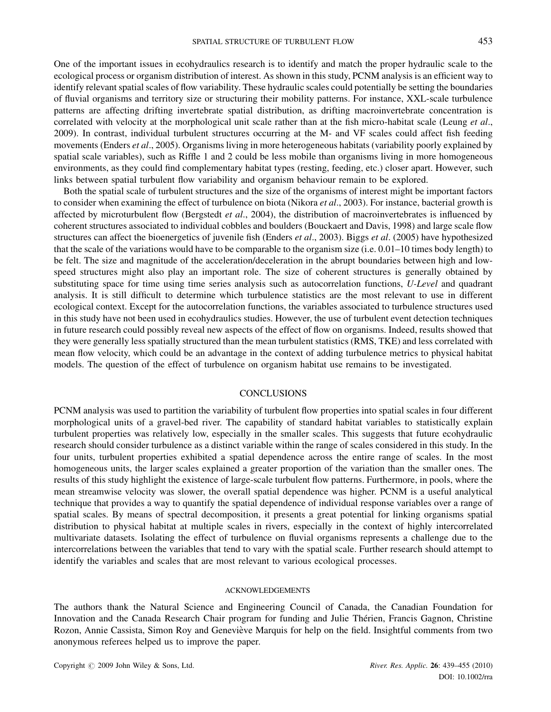One of the important issues in ecohydraulics research is to identify and match the proper hydraulic scale to the ecological process or organism distribution of interest. As shown in this study, PCNM analysis is an efficient way to identify relevant spatial scales of flow variability. These hydraulic scales could potentially be setting the boundaries of fluvial organisms and territory size or structuring their mobility patterns. For instance, XXL-scale turbulence patterns are affecting drifting invertebrate spatial distribution, as drifting macroinvertebrate concentration is correlated with velocity at the morphological unit scale rather than at the fish micro-habitat scale (Leung et al., 2009). In contrast, individual turbulent structures occurring at the M- and VF scales could affect fish feeding movements (Enders et al., 2005). Organisms living in more heterogeneous habitats (variability poorly explained by spatial scale variables), such as Riffle 1 and 2 could be less mobile than organisms living in more homogeneous environments, as they could find complementary habitat types (resting, feeding, etc.) closer apart. However, such links between spatial turbulent flow variability and organism behaviour remain to be explored.

Both the spatial scale of turbulent structures and the size of the organisms of interest might be important factors to consider when examining the effect of turbulence on biota (Nikora *et al.*, 2003). For instance, bacterial growth is affected by microturbulent flow (Bergstedt et al., 2004), the distribution of macroinvertebrates is influenced by coherent structures associated to individual cobbles and boulders (Bouckaert and Davis, 1998) and large scale flow structures can affect the bioenergetics of juvenile fish (Enders et al., 2003). Biggs et al. (2005) have hypothesized that the scale of the variations would have to be comparable to the organism size (i.e. 0.01–10 times body length) to be felt. The size and magnitude of the acceleration/deceleration in the abrupt boundaries between high and lowspeed structures might also play an important role. The size of coherent structures is generally obtained by substituting space for time using time series analysis such as autocorrelation functions, U-Level and quadrant analysis. It is still difficult to determine which turbulence statistics are the most relevant to use in different ecological context. Except for the autocorrelation functions, the variables associated to turbulence structures used in this study have not been used in ecohydraulics studies. However, the use of turbulent event detection techniques in future research could possibly reveal new aspects of the effect of flow on organisms. Indeed, results showed that they were generally less spatially structured than the mean turbulent statistics (RMS, TKE) and less correlated with mean flow velocity, which could be an advantage in the context of adding turbulence metrics to physical habitat models. The question of the effect of turbulence on organism habitat use remains to be investigated.

#### CONCLUSIONS

PCNM analysis was used to partition the variability of turbulent flow properties into spatial scales in four different morphological units of a gravel-bed river. The capability of standard habitat variables to statistically explain turbulent properties was relatively low, especially in the smaller scales. This suggests that future ecohydraulic research should consider turbulence as a distinct variable within the range of scales considered in this study. In the four units, turbulent properties exhibited a spatial dependence across the entire range of scales. In the most homogeneous units, the larger scales explained a greater proportion of the variation than the smaller ones. The results of this study highlight the existence of large-scale turbulent flow patterns. Furthermore, in pools, where the mean streamwise velocity was slower, the overall spatial dependence was higher. PCNM is a useful analytical technique that provides a way to quantify the spatial dependence of individual response variables over a range of spatial scales. By means of spectral decomposition, it presents a great potential for linking organisms spatial distribution to physical habitat at multiple scales in rivers, especially in the context of highly intercorrelated multivariate datasets. Isolating the effect of turbulence on fluvial organisms represents a challenge due to the intercorrelations between the variables that tend to vary with the spatial scale. Further research should attempt to identify the variables and scales that are most relevant to various ecological processes.

#### ACKNOWLEDGEMENTS

The authors thank the Natural Science and Engineering Council of Canada, the Canadian Foundation for Innovation and the Canada Research Chair program for funding and Julie Thérien, Francis Gagnon, Christine Rozon, Annie Cassista, Simon Roy and Geneviève Marquis for help on the field. Insightful comments from two anonymous referees helped us to improve the paper.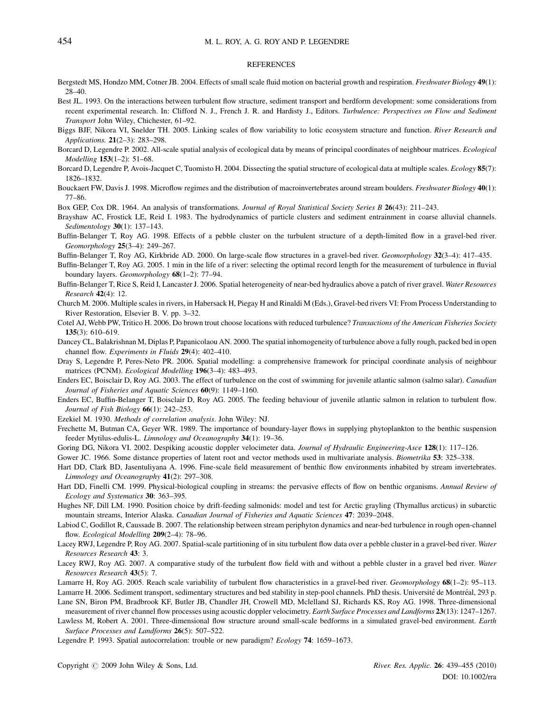#### **REFERENCES**

- Bergstedt MS, Hondzo MM, Cotner JB. 2004. Effects of small scale fluid motion on bacterial growth and respiration. Freshwater Biology 49(1): 28–40.
- Best JL. 1993. On the interactions between turbulent flow structure, sediment transport and berdform development: some considerations from recent experimental research. In: Clifford N. J., French J. R. and Hardisty J., Editors. Turbulence: Perspectives on Flow and Sediment Transport John Wiley, Chichester, 61–92.
- Biggs BJF, Nikora VI, Snelder TH. 2005. Linking scales of flow variability to lotic ecosystem structure and function. River Research and Applications. 21(2–3): 283–298.
- Borcard D, Legendre P. 2002. All-scale spatial analysis of ecological data by means of principal coordinates of neighbour matrices. Ecological Modelling 153(1–2): 51–68.
- Borcard D, Legendre P, Avois-Jacquet C, Tuomisto H. 2004. Dissecting the spatial structure of ecological data at multiple scales. Ecology 85(7): 1826–1832.
- Bouckaert FW, Davis J. 1998. Microflow regimes and the distribution of macroinvertebrates around stream boulders. Freshwater Biology 40(1): 77–86.
- Box GEP, Cox DR. 1964. An analysis of transformations. Journal of Royal Statistical Society Series B 26(43): 211–243.
- Brayshaw AC, Frostick LE, Reid I. 1983. The hydrodynamics of particle clusters and sediment entrainment in coarse alluvial channels. Sedimentology 30(1): 137–143.
- Buffin-Belanger T, Roy AG. 1998. Effects of a pebble cluster on the turbulent structure of a depth-limited flow in a gravel-bed river. Geomorphology 25(3–4): 249–267.
- Buffin-Belanger T, Roy AG, Kirkbride AD. 2000. On large-scale flow structures in a gravel-bed river. Geomorphology 32(3–4): 417–435.
- Buffin-Belanger T, Roy AG. 2005. 1 min in the life of a river: selecting the optimal record length for the measurement of turbulence in fluvial boundary layers. Geomorphology 68(1–2): 77–94.
- Buffin-Belanger T, Rice S, Reid I, Lancaster J. 2006. Spatial heterogeneity of near-bed hydraulics above a patch of river gravel. Water Resources Research 42(4): 12.
- Church M. 2006. Multiple scales in rivers, in Habersack H, Piegay H and Rinaldi M (Eds.), Gravel-bed rivers VI: From Process Understanding to River Restoration, Elsevier B. V. pp. 3–32.

Cotel AJ, Webb PW, Tritico H. 2006. Do brown trout choose locations with reduced turbulence? Transactions of the American Fisheries Society 135(3): 610–619.

Dancey CL, Balakrishnan M, Diplas P, Papanicolaou AN. 2000. The spatial inhomogeneity of turbulence above a fully rough, packed bed in open channel flow. Experiments in Fluids 29(4): 402–410.

Dray S, Legendre P, Peres-Neto PR. 2006. Spatial modelling: a comprehensive framework for principal coordinate analysis of neighbour matrices (PCNM). Ecological Modelling 196(3–4): 483–493.

- Enders EC, Boisclair D, Roy AG. 2003. The effect of turbulence on the cost of swimming for juvenile atlantic salmon (salmo salar). Canadian Journal of Fisheries and Aquatic Sciences 60(9): 1149–1160.
- Enders EC, Buffin-Belanger T, Boisclair D, Roy AG. 2005. The feeding behaviour of juvenile atlantic salmon in relation to turbulent flow. Journal of Fish Biology 66(1): 242-253.

Ezekiel M. 1930. Methods of correlation analysis. John Wiley: NJ.

- Frechette M, Butman CA, Geyer WR. 1989. The importance of boundary-layer flows in supplying phytoplankton to the benthic suspension feeder Mytilus-edulis-L. Limnology and Oceanography 34(1): 19–36.
- Goring DG, Nikora VI. 2002. Despiking acoustic doppler velocimeter data. Journal of Hydraulic Engineering-Asce 128(1): 117-126.

Gower JC. 1966. Some distance properties of latent root and vector methods used in multivariate analysis. Biometrika 53: 325–338.

- Hart DD, Clark BD, Jasentuliyana A. 1996. Fine-scale field measurement of benthic flow environments inhabited by stream invertebrates. Limnology and Oceanography 41(2): 297–308.
- Hart DD, Finelli CM. 1999. Physical-biological coupling in streams: the pervasive effects of flow on benthic organisms. Annual Review of Ecology and Systematics 30: 363–395.
- Hughes NF, Dill LM. 1990. Position choice by drift-feeding salmonids: model and test for Arctic grayling (Thymallus arcticus) in subarctic mountain streams, Interior Alaska. Canadian Journal of Fisheries and Aquatic Sciences 47: 2039–2048.
- Labiod C, Godillot R, Caussade B. 2007. The relationship between stream periphyton dynamics and near-bed turbulence in rough open-channel flow. Ecological Modelling 209(2-4): 78-96.
- Lacey RWJ, Legendre P, Roy AG. 2007. Spatial-scale partitioning of in situ turbulent flow data over a pebble cluster in a gravel-bed river. Water Resources Research 43: 3.
- Lacey RWJ, Roy AG. 2007. A comparative study of the turbulent flow field with and without a pebble cluster in a gravel bed river. Water Resources Research 43(5): 7.
- Lamarre H, Roy AG. 2005. Reach scale variability of turbulent flow characteristics in a gravel-bed river. Geomorphology 68(1-2): 95-113.
- Lamarre H. 2006. Sediment transport, sedimentary structures and bed stability in step-pool channels. PhD thesis. Université de Montréal, 293 p. Lane SN, Biron PM, Bradbrook KF, Butler JB, Chandler JH, Crowell MD, Mclelland SJ, Richards KS, Roy AG. 1998. Three-dimensional
- measurement of river channel flow processes using acoustic doppler velocimetry. Earth Surface Processes and Landforms 23(13): 1247-1267. Lawless M, Robert A. 2001. Three-dimensional flow structure around small-scale bedforms in a simulated gravel-bed environment. Earth

Surface Processes and Landforms 26(5): 507–522.

Legendre P. 1993. Spatial autocorrelation: trouble or new paradigm? Ecology 74: 1659–1673.